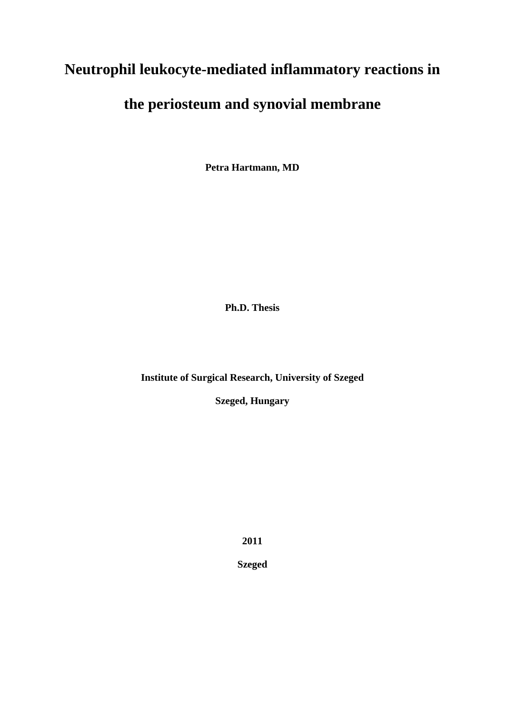# **Neutrophil leukocyte-mediated inflammatory reactions in**

# **the periosteum and synovial membrane**

**Petra Hartmann, MD** 

**Ph.D. Thesis** 

**Institute of Surgical Research, University of Szeged** 

**Szeged, Hungary** 

**2011** 

**Szeged**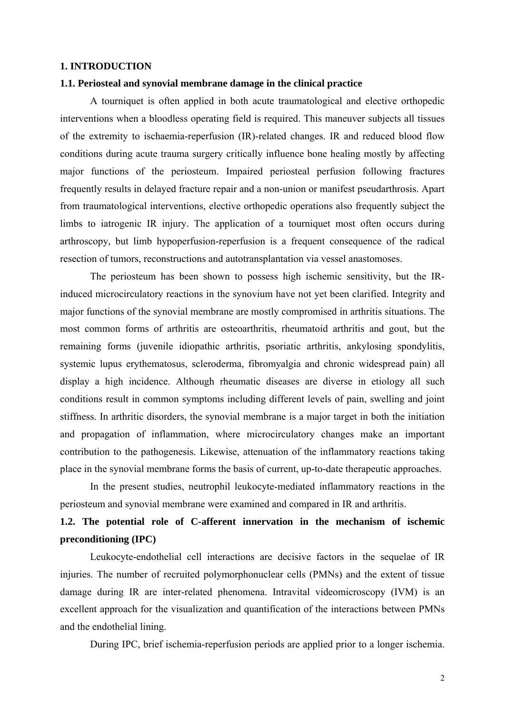# **1. INTRODUCTION**

#### **1.1. Periosteal and synovial membrane damage in the clinical practice**

A tourniquet is often applied in both acute traumatological and elective orthopedic interventions when a bloodless operating field is required. This maneuver subjects all tissues of the extremity to ischaemia-reperfusion (IR)-related changes. IR and reduced blood flow conditions during acute trauma surgery critically influence bone healing mostly by affecting major functions of the periosteum. Impaired periosteal perfusion following fractures frequently results in delayed fracture repair and a non-union or manifest pseudarthrosis. Apart from traumatological interventions, elective orthopedic operations also frequently subject the limbs to iatrogenic IR injury. The application of a tourniquet most often occurs during arthroscopy, but limb hypoperfusion-reperfusion is a frequent consequence of the radical resection of tumors, reconstructions and autotransplantation via vessel anastomoses.

The periosteum has been shown to possess high ischemic sensitivity, but the IRinduced microcirculatory reactions in the synovium have not yet been clarified. Integrity and major functions of the synovial membrane are mostly compromised in arthritis situations. The most common forms of arthritis are osteoarthritis, rheumatoid arthritis and gout, but the remaining forms (juvenile idiopathic arthritis, psoriatic arthritis, ankylosing spondylitis, systemic lupus erythematosus, scleroderma, fibromyalgia and chronic widespread pain) all display a high incidence. Although rheumatic diseases are diverse in etiology all such conditions result in common symptoms including different levels of pain, swelling and joint stiffness. In arthritic disorders, the synovial membrane is a major target in both the initiation and propagation of inflammation, where microcirculatory changes make an important contribution to the pathogenesis. Likewise, attenuation of the inflammatory reactions taking place in the synovial membrane forms the basis of current, up-to-date therapeutic approaches.

In the present studies, neutrophil leukocyte-mediated inflammatory reactions in the periosteum and synovial membrane were examined and compared in IR and arthritis.

# **1.2. The potential role of C-afferent innervation in the mechanism of ischemic preconditioning (IPC)**

Leukocyte-endothelial cell interactions are decisive factors in the sequelae of IR injuries. The number of recruited polymorphonuclear cells (PMNs) and the extent of tissue damage during IR are inter-related phenomena. Intravital videomicroscopy (IVM) is an excellent approach for the visualization and quantification of the interactions between PMNs and the endothelial lining.

During IPC, brief ischemia-reperfusion periods are applied prior to a longer ischemia.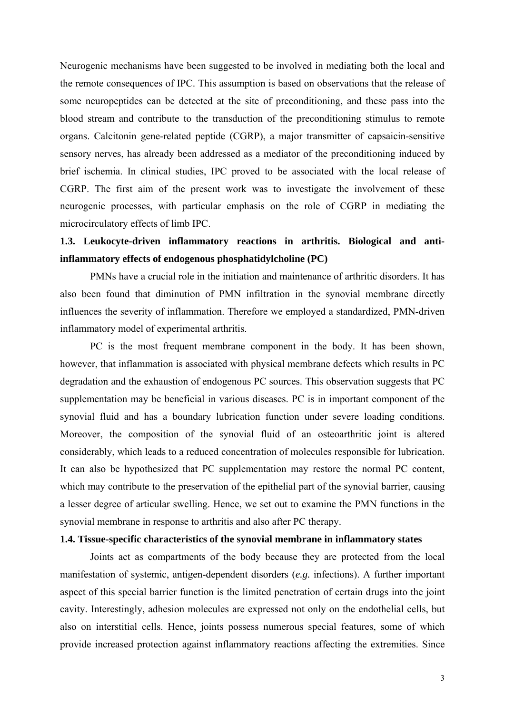Neurogenic mechanisms have been suggested to be involved in mediating both the local and the remote consequences of IPC. This assumption is based on observations that the release of some neuropeptides can be detected at the site of preconditioning, and these pass into the blood stream and contribute to the transduction of the preconditioning stimulus to remote organs. Calcitonin gene-related peptide (CGRP), a major transmitter of capsaicin-sensitive sensory nerves, has already been addressed as a mediator of the preconditioning induced by brief ischemia. In clinical studies, IPC proved to be associated with the local release of CGRP. The first aim of the present work was to investigate the involvement of these neurogenic processes, with particular emphasis on the role of CGRP in mediating the microcirculatory effects of limb IPC.

# **1.3. Leukocyte-driven inflammatory reactions in arthritis. Biological and antiinflammatory effects of endogenous phosphatidylcholine (PC)**

PMNs have a crucial role in the initiation and maintenance of arthritic disorders. It has also been found that diminution of PMN infiltration in the synovial membrane directly influences the severity of inflammation. Therefore we employed a standardized, PMN-driven inflammatory model of experimental arthritis.

PC is the most frequent membrane component in the body. It has been shown, however, that inflammation is associated with physical membrane defects which results in PC degradation and the exhaustion of endogenous PC sources. This observation suggests that PC supplementation may be beneficial in various diseases. PC is in important component of the synovial fluid and has a boundary lubrication function under severe loading conditions. Moreover, the composition of the synovial fluid of an osteoarthritic joint is altered considerably, which leads to a reduced concentration of molecules responsible for lubrication. It can also be hypothesized that PC supplementation may restore the normal PC content, which may contribute to the preservation of the epithelial part of the synovial barrier, causing a lesser degree of articular swelling. Hence, we set out to examine the PMN functions in the synovial membrane in response to arthritis and also after PC therapy.

#### **1.4. Tissue-specific characteristics of the synovial membrane in inflammatory states**

Joints act as compartments of the body because they are protected from the local manifestation of systemic, antigen-dependent disorders (*e.g.* infections). A further important aspect of this special barrier function is the limited penetration of certain drugs into the joint cavity. Interestingly, adhesion molecules are expressed not only on the endothelial cells, but also on interstitial cells. Hence, joints possess numerous special features, some of which provide increased protection against inflammatory reactions affecting the extremities. Since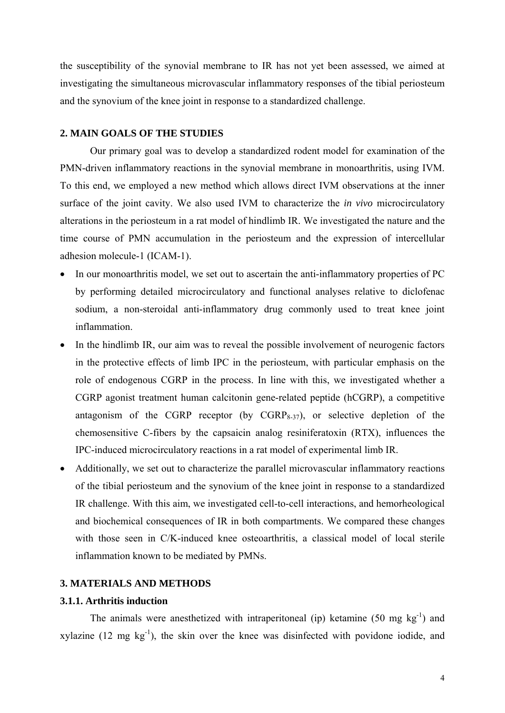the susceptibility of the synovial membrane to IR has not yet been assessed, we aimed at investigating the simultaneous microvascular inflammatory responses of the tibial periosteum and the synovium of the knee joint in response to a standardized challenge.

#### **2. MAIN GOALS OF THE STUDIES**

Our primary goal was to develop a standardized rodent model for examination of the PMN-driven inflammatory reactions in the synovial membrane in monoarthritis, using IVM. To this end, we employed a new method which allows direct IVM observations at the inner surface of the joint cavity. We also used IVM to characterize the *in vivo* microcirculatory alterations in the periosteum in a rat model of hindlimb IR. We investigated the nature and the time course of PMN accumulation in the periosteum and the expression of intercellular adhesion molecule-1 (ICAM-1).

- In our monoarthritis model, we set out to ascertain the anti-inflammatory properties of PC by performing detailed microcirculatory and functional analyses relative to diclofenac sodium, a non-steroidal anti-inflammatory drug commonly used to treat knee joint inflammation.
- In the hindlimb IR, our aim was to reveal the possible involvement of neurogenic factors in the protective effects of limb IPC in the periosteum, with particular emphasis on the role of endogenous CGRP in the process. In line with this, we investigated whether a CGRP agonist treatment human calcitonin gene-related peptide (hCGRP), a competitive antagonism of the CGRP receptor (by  $CGRP_{8-37}$ ), or selective depletion of the chemosensitive C-fibers by the capsaicin analog resiniferatoxin (RTX), influences the IPC-induced microcirculatory reactions in a rat model of experimental limb IR.
- Additionally, we set out to characterize the parallel microvascular inflammatory reactions of the tibial periosteum and the synovium of the knee joint in response to a standardized IR challenge. With this aim, we investigated cell-to-cell interactions, and hemorheological and biochemical consequences of IR in both compartments. We compared these changes with those seen in C/K-induced knee osteoarthritis, a classical model of local sterile inflammation known to be mediated by PMNs.

## **3. MATERIALS AND METHODS**

### **3.1.1. Arthritis induction**

The animals were anesthetized with intraperitoneal (ip) ketamine (50 mg  $kg^{-1}$ ) and xylazine  $(12 \text{ mg kg}^{-1})$ , the skin over the knee was disinfected with povidone iodide, and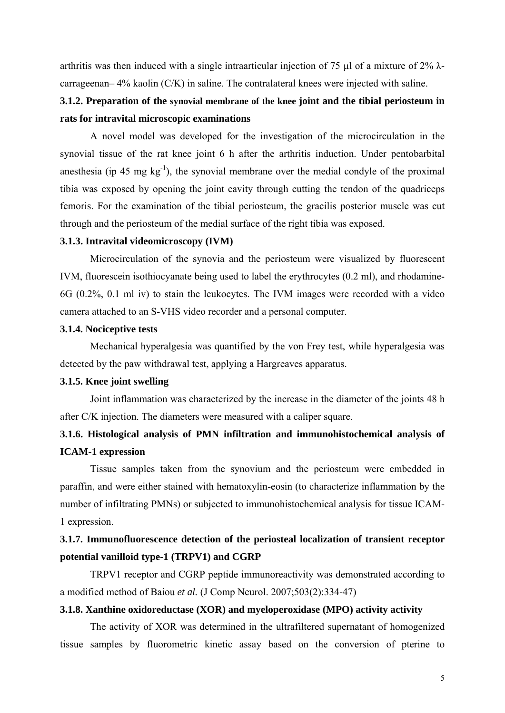arthritis was then induced with a single intraarticular injection of 75  $\mu$ l of a mixture of 2%  $\lambda$ carrageenan– 4% kaolin (C/K) in saline. The contralateral knees were injected with saline.

# **3.1.2. Preparation of the synovial membrane of the knee joint and the tibial periosteum in rats for intravital microscopic examinations**

 A novel model was developed for the investigation of the microcirculation in the synovial tissue of the rat knee joint 6 h after the arthritis induction. Under pentobarbital anesthesia (ip 45 mg  $kg^{-1}$ ), the synovial membrane over the medial condyle of the proximal tibia was exposed by opening the joint cavity through cutting the tendon of the quadriceps femoris. For the examination of the tibial periosteum, the gracilis posterior muscle was cut through and the periosteum of the medial surface of the right tibia was exposed.

### **3.1.3. Intravital videomicroscopy (IVM)**

 Microcirculation of the synovia and the periosteum were visualized by fluorescent IVM, fluorescein isothiocyanate being used to label the erythrocytes (0.2 ml), and rhodamine-6G (0.2%, 0.1 ml iv) to stain the leukocytes. The IVM images were recorded with a video camera attached to an S-VHS video recorder and a personal computer.

# **3.1.4. Nociceptive tests**

 Mechanical hyperalgesia was quantified by the von Frey test, while hyperalgesia was detected by the paw withdrawal test, applying a Hargreaves apparatus.

### **3.1.5. Knee joint swelling**

 Joint inflammation was characterized by the increase in the diameter of the joints 48 h after C/K injection. The diameters were measured with a caliper square.

# **3.1.6. Histological analysis of PMN infiltration and immunohistochemical analysis of ICAM-1 expression**

 Tissue samples taken from the synovium and the periosteum were embedded in paraffin, and were either stained with hematoxylin-eosin (to characterize inflammation by the number of infiltrating PMNs) or subjected to immunohistochemical analysis for tissue ICAM-1 expression.

# **3.1.7. Immunofluorescence detection of the periosteal localization of transient receptor potential vanilloid type-1 (TRPV1) and CGRP**

 TRPV1 receptor and CGRP peptide immunoreactivity was demonstrated according to a modified method of Baiou *et al.* (J Comp Neurol. 2007;503(2):334-47)

### **3.1.8. Xanthine oxidoreductase (XOR) and myeloperoxidase (MPO) activity activity**

 The activity of XOR was determined in the ultrafiltered supernatant of homogenized tissue samples by fluorometric kinetic assay based on the conversion of pterine to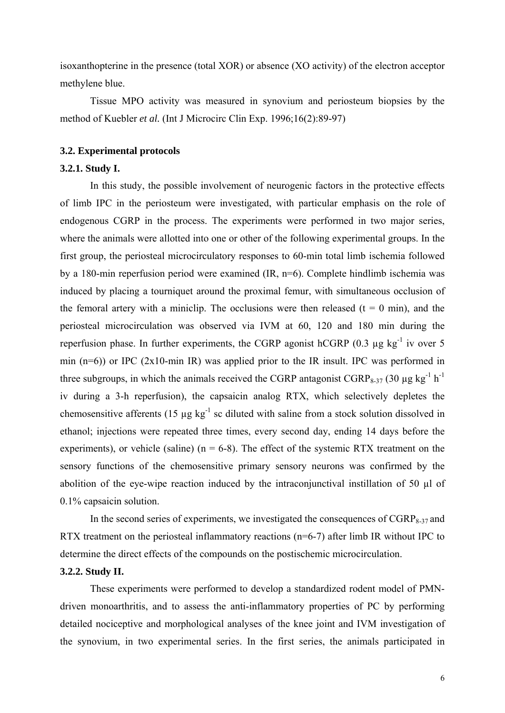isoxanthopterine in the presence (total XOR) or absence (XO activity) of the electron acceptor methylene blue.

 Tissue MPO activity was measured in synovium and periosteum biopsies by the method of Kuebler *et al.* (Int J Microcirc Clin Exp. 1996;16(2):89-97)

### **3.2. Experimental protocols**

### **3.2.1. Study I.**

 In this study, the possible involvement of neurogenic factors in the protective effects of limb IPC in the periosteum were investigated, with particular emphasis on the role of endogenous CGRP in the process. The experiments were performed in two major series, where the animals were allotted into one or other of the following experimental groups. In the first group, the periosteal microcirculatory responses to 60-min total limb ischemia followed by a 180-min reperfusion period were examined (IR, n=6). Complete hindlimb ischemia was induced by placing a tourniquet around the proximal femur, with simultaneous occlusion of the femoral artery with a miniclip. The occlusions were then released ( $t = 0$  min), and the periosteal microcirculation was observed via IVM at 60, 120 and 180 min during the reperfusion phase. In further experiments, the CGRP agonist hCGRP  $(0.3 \mu g kg^{-1} iV)$  over 5 min  $(n=6)$ ) or IPC (2x10-min IR) was applied prior to the IR insult. IPC was performed in three subgroups, in which the animals received the CGRP antagonist  $CGRP_{8-37}$  (30 µg kg<sup>-1</sup> h<sup>-1</sup> iv during a 3-h reperfusion), the capsaicin analog RTX, which selectively depletes the chemosensitive afferents (15  $\mu$ g kg<sup>-1</sup> sc diluted with saline from a stock solution dissolved in ethanol; injections were repeated three times, every second day, ending 14 days before the experiments), or vehicle (saline) ( $n = 6-8$ ). The effect of the systemic RTX treatment on the sensory functions of the chemosensitive primary sensory neurons was confirmed by the abolition of the eye-wipe reaction induced by the intraconjunctival instillation of 50 µl of 0.1% capsaicin solution.

In the second series of experiments, we investigated the consequences of  $CGRP_{8-37}$  and RTX treatment on the periosteal inflammatory reactions (n=6-7) after limb IR without IPC to determine the direct effects of the compounds on the postischemic microcirculation.

### **3.2.2. Study II.**

 These experiments were performed to develop a standardized rodent model of PMNdriven monoarthritis, and to assess the anti-inflammatory properties of PC by performing detailed nociceptive and morphological analyses of the knee joint and IVM investigation of the synovium, in two experimental series. In the first series, the animals participated in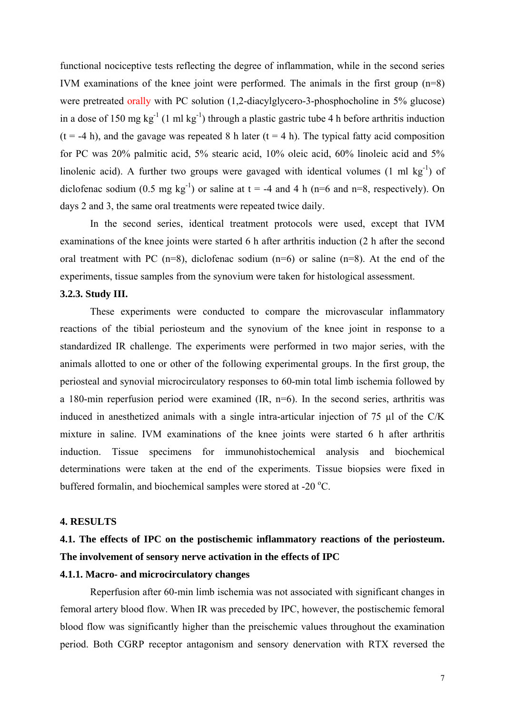functional nociceptive tests reflecting the degree of inflammation, while in the second series IVM examinations of the knee joint were performed. The animals in the first group (n=8) were pretreated orally with PC solution (1,2-diacylglycero-3-phosphocholine in 5% glucose) in a dose of 150 mg kg<sup>-1</sup> (1 ml kg<sup>-1</sup>) through a plastic gastric tube 4 h before arthritis induction  $(t = -4 h)$ , and the gavage was repeated 8 h later  $(t = 4 h)$ . The typical fatty acid composition for PC was 20% palmitic acid, 5% stearic acid, 10% oleic acid, 60% linoleic acid and 5% linolenic acid). A further two groups were gavaged with identical volumes  $(1 \text{ ml kg}^{-1})$  of diclofenac sodium  $(0.5 \text{ mg kg}^{-1})$  or saline at t = -4 and 4 h (n=6 and n=8, respectively). On days 2 and 3, the same oral treatments were repeated twice daily.

 In the second series, identical treatment protocols were used, except that IVM examinations of the knee joints were started 6 h after arthritis induction (2 h after the second oral treatment with PC  $(n=8)$ , diclofenac sodium  $(n=6)$  or saline  $(n=8)$ . At the end of the experiments, tissue samples from the synovium were taken for histological assessment.

### **3.2.3. Study III.**

 These experiments were conducted to compare the microvascular inflammatory reactions of the tibial periosteum and the synovium of the knee joint in response to a standardized IR challenge. The experiments were performed in two major series, with the animals allotted to one or other of the following experimental groups. In the first group, the periosteal and synovial microcirculatory responses to 60-min total limb ischemia followed by a 180-min reperfusion period were examined (IR, n=6). In the second series, arthritis was induced in anesthetized animals with a single intra-articular injection of 75 µl of the C/K mixture in saline. IVM examinations of the knee joints were started 6 h after arthritis induction. Tissue specimens for immunohistochemical analysis and biochemical determinations were taken at the end of the experiments. Tissue biopsies were fixed in buffered formalin, and biochemical samples were stored at -20 °C.

### **4. RESULTS**

# **4.1. The effects of IPC on the postischemic inflammatory reactions of the periosteum. The involvement of sensory nerve activation in the effects of IPC**

# **4.1.1. Macro- and microcirculatory changes**

Reperfusion after 60-min limb ischemia was not associated with significant changes in femoral artery blood flow. When IR was preceded by IPC, however, the postischemic femoral blood flow was significantly higher than the preischemic values throughout the examination period. Both CGRP receptor antagonism and sensory denervation with RTX reversed the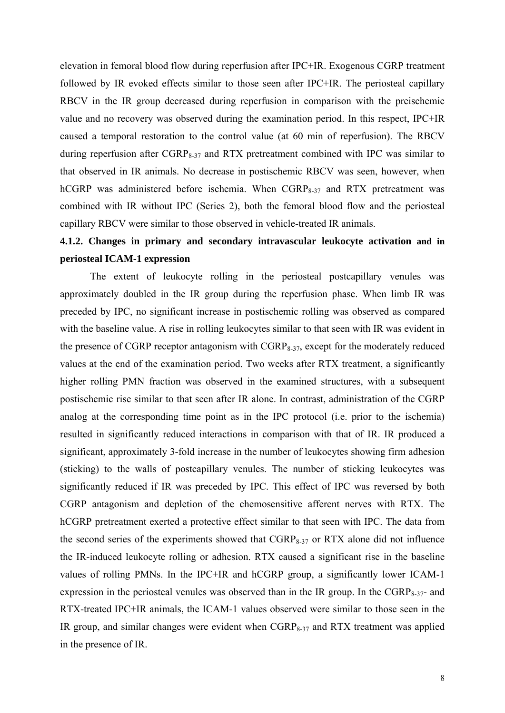elevation in femoral blood flow during reperfusion after IPC+IR. Exogenous CGRP treatment followed by IR evoked effects similar to those seen after IPC+IR. The periosteal capillary RBCV in the IR group decreased during reperfusion in comparison with the preischemic value and no recovery was observed during the examination period. In this respect, IPC+IR caused a temporal restoration to the control value (at 60 min of reperfusion). The RBCV during reperfusion after  $CGRP_{8-37}$  and RTX pretreatment combined with IPC was similar to that observed in IR animals. No decrease in postischemic RBCV was seen, however, when hCGRP was administered before ischemia. When  $CGRP_{8-37}$  and RTX pretreatment was combined with IR without IPC (Series 2), both the femoral blood flow and the periosteal capillary RBCV were similar to those observed in vehicle-treated IR animals.

# **4.1.2. Changes in primary and secondary intravascular leukocyte activation and in periosteal ICAM-1 expression**

The extent of leukocyte rolling in the periosteal postcapillary venules was approximately doubled in the IR group during the reperfusion phase. When limb IR was preceded by IPC, no significant increase in postischemic rolling was observed as compared with the baseline value. A rise in rolling leukocytes similar to that seen with IR was evident in the presence of CGRP receptor antagonism with CGRP<sub>8-37</sub>, except for the moderately reduced values at the end of the examination period. Two weeks after RTX treatment, a significantly higher rolling PMN fraction was observed in the examined structures, with a subsequent postischemic rise similar to that seen after IR alone. In contrast, administration of the CGRP analog at the corresponding time point as in the IPC protocol (i.e. prior to the ischemia) resulted in significantly reduced interactions in comparison with that of IR. IR produced a significant, approximately 3-fold increase in the number of leukocytes showing firm adhesion (sticking) to the walls of postcapillary venules. The number of sticking leukocytes was significantly reduced if IR was preceded by IPC. This effect of IPC was reversed by both CGRP antagonism and depletion of the chemosensitive afferent nerves with RTX. The hCGRP pretreatment exerted a protective effect similar to that seen with IPC. The data from the second series of the experiments showed that  $CGRP_{8-37}$  or RTX alone did not influence the IR-induced leukocyte rolling or adhesion. RTX caused a significant rise in the baseline values of rolling PMNs. In the IPC+IR and hCGRP group, a significantly lower ICAM-1 expression in the periosteal venules was observed than in the IR group. In the  $CGRP_{8-37}$ - and RTX-treated IPC+IR animals, the ICAM-1 values observed were similar to those seen in the IR group, and similar changes were evident when  $CGRP_{8-37}$  and RTX treatment was applied in the presence of IR.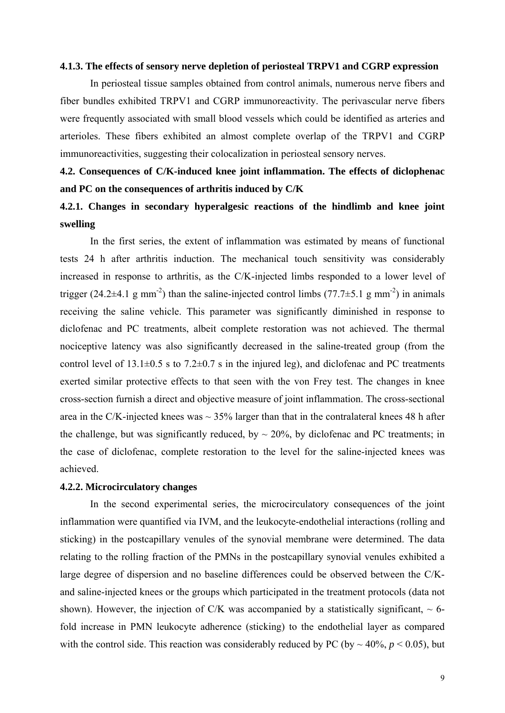#### **4.1.3. The effects of sensory nerve depletion of periosteal TRPV1 and CGRP expression**

 In periosteal tissue samples obtained from control animals, numerous nerve fibers and fiber bundles exhibited TRPV1 and CGRP immunoreactivity. The perivascular nerve fibers were frequently associated with small blood vessels which could be identified as arteries and arterioles. These fibers exhibited an almost complete overlap of the TRPV1 and CGRP immunoreactivities, suggesting their colocalization in periosteal sensory nerves.

# **4.2. Consequences of C/K-induced knee joint inflammation. The effects of diclophenac and PC on the consequences of arthritis induced by C/K**

# **4.2.1. Changes in secondary hyperalgesic reactions of the hindlimb and knee joint swelling**

 In the first series, the extent of inflammation was estimated by means of functional tests 24 h after arthritis induction. The mechanical touch sensitivity was considerably increased in response to arthritis, as the C/K-injected limbs responded to a lower level of trigger (24.2 $\pm$ 4.1 g mm<sup>-2</sup>) than the saline-injected control limbs (77.7 $\pm$ 5.1 g mm<sup>-2</sup>) in animals receiving the saline vehicle. This parameter was significantly diminished in response to diclofenac and PC treatments, albeit complete restoration was not achieved. The thermal nociceptive latency was also significantly decreased in the saline-treated group (from the control level of  $13.1\pm0.5$  s to  $7.2\pm0.7$  s in the injured leg), and diclofenac and PC treatments exerted similar protective effects to that seen with the von Frey test. The changes in knee cross-section furnish a direct and objective measure of joint inflammation. The cross-sectional area in the C/K-injected knees was  $\sim$  35% larger than that in the contralateral knees 48 h after the challenge, but was significantly reduced, by  $\sim 20\%$ , by diclofenac and PC treatments; in the case of diclofenac, complete restoration to the level for the saline-injected knees was achieved.

### **4.2.2. Microcirculatory changes**

 In the second experimental series, the microcirculatory consequences of the joint inflammation were quantified via IVM, and the leukocyte-endothelial interactions (rolling and sticking) in the postcapillary venules of the synovial membrane were determined. The data relating to the rolling fraction of the PMNs in the postcapillary synovial venules exhibited a large degree of dispersion and no baseline differences could be observed between the C/Kand saline-injected knees or the groups which participated in the treatment protocols (data not shown). However, the injection of C/K was accompanied by a statistically significant,  $\sim$  6fold increase in PMN leukocyte adherence (sticking) to the endothelial layer as compared with the control side. This reaction was considerably reduced by PC (by  $\sim$  40%,  $p \le 0.05$ ), but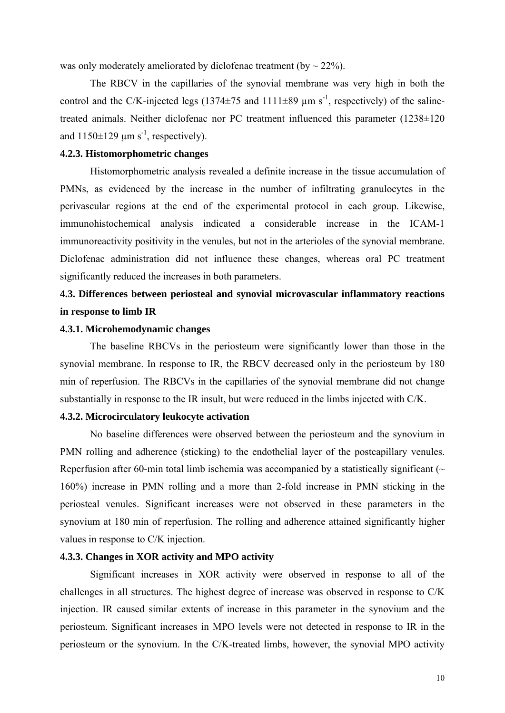was only moderately ameliorated by diclofenac treatment (by  $\sim$  22%).

 The RBCV in the capillaries of the synovial membrane was very high in both the control and the C/K-injected legs (1374 $\pm$ 75 and 1111 $\pm$ 89  $\mu$ m s<sup>-1</sup>, respectively) of the salinetreated animals. Neither diclofenac nor PC treatment influenced this parameter (1238±120) and  $1150\pm129$  µm s<sup>-1</sup>, respectively).

# **4.2.3. Histomorphometric changes**

 Histomorphometric analysis revealed a definite increase in the tissue accumulation of PMNs, as evidenced by the increase in the number of infiltrating granulocytes in the perivascular regions at the end of the experimental protocol in each group. Likewise, immunohistochemical analysis indicated a considerable increase in the ICAM-1 immunoreactivity positivity in the venules, but not in the arterioles of the synovial membrane. Diclofenac administration did not influence these changes, whereas oral PC treatment significantly reduced the increases in both parameters.

# **4.3. Differences between periosteal and synovial microvascular inflammatory reactions in response to limb IR**

## **4.3.1. Microhemodynamic changes**

 The baseline RBCVs in the periosteum were significantly lower than those in the synovial membrane. In response to IR, the RBCV decreased only in the periosteum by 180 min of reperfusion. The RBCVs in the capillaries of the synovial membrane did not change substantially in response to the IR insult, but were reduced in the limbs injected with C/K.

### **4.3.2. Microcirculatory leukocyte activation**

 No baseline differences were observed between the periosteum and the synovium in PMN rolling and adherence (sticking) to the endothelial layer of the postcapillary venules. Reperfusion after 60-min total limb ischemia was accompanied by a statistically significant ( $\sim$ 160%) increase in PMN rolling and a more than 2-fold increase in PMN sticking in the periosteal venules. Significant increases were not observed in these parameters in the synovium at 180 min of reperfusion. The rolling and adherence attained significantly higher values in response to C/K injection.

### **4.3.3. Changes in XOR activity and MPO activity**

 Significant increases in XOR activity were observed in response to all of the challenges in all structures. The highest degree of increase was observed in response to C/K injection. IR caused similar extents of increase in this parameter in the synovium and the periosteum. Significant increases in MPO levels were not detected in response to IR in the periosteum or the synovium. In the C/K-treated limbs, however, the synovial MPO activity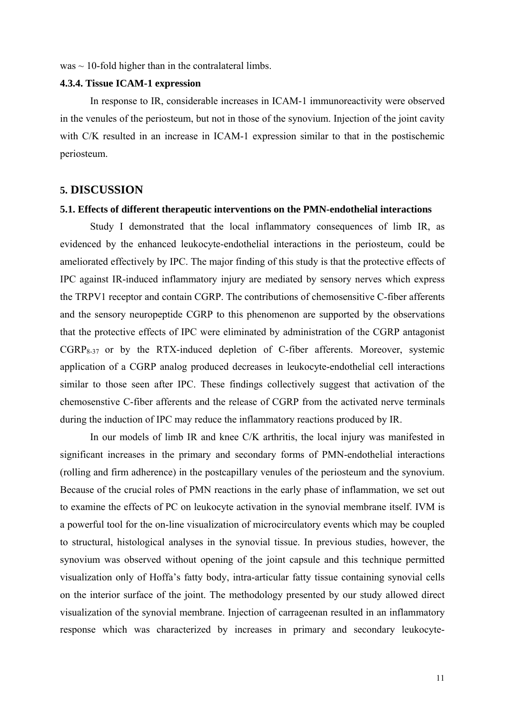$was \sim 10$ -fold higher than in the contralateral limbs.

#### **4.3.4. Tissue ICAM-1 expression**

 In response to IR, considerable increases in ICAM-1 immunoreactivity were observed in the venules of the periosteum, but not in those of the synovium. Injection of the joint cavity with C/K resulted in an increase in ICAM-1 expression similar to that in the postischemic periosteum.

# **5. DISCUSSION**

### **5.1. Effects of different therapeutic interventions on the PMN-endothelial interactions**

Study I demonstrated that the local inflammatory consequences of limb IR, as evidenced by the enhanced leukocyte-endothelial interactions in the periosteum, could be ameliorated effectively by IPC. The major finding of this study is that the protective effects of IPC against IR-induced inflammatory injury are mediated by sensory nerves which express the TRPV1 receptor and contain CGRP. The contributions of chemosensitive C-fiber afferents and the sensory neuropeptide CGRP to this phenomenon are supported by the observations that the protective effects of IPC were eliminated by administration of the CGRP antagonist  $CGRP_{8-37}$  or by the RTX-induced depletion of C-fiber afferents. Moreover, systemic application of a CGRP analog produced decreases in leukocyte-endothelial cell interactions similar to those seen after IPC. These findings collectively suggest that activation of the chemosenstive C-fiber afferents and the release of CGRP from the activated nerve terminals during the induction of IPC may reduce the inflammatory reactions produced by IR.

In our models of limb IR and knee C/K arthritis, the local injury was manifested in significant increases in the primary and secondary forms of PMN-endothelial interactions (rolling and firm adherence) in the postcapillary venules of the periosteum and the synovium. Because of the crucial roles of PMN reactions in the early phase of inflammation, we set out to examine the effects of PC on leukocyte activation in the synovial membrane itself. IVM is a powerful tool for the on-line visualization of microcirculatory events which may be coupled to structural, histological analyses in the synovial tissue. In previous studies, however, the synovium was observed without opening of the joint capsule and this technique permitted visualization only of Hoffa's fatty body, intra-articular fatty tissue containing synovial cells on the interior surface of the joint. The methodology presented by our study allowed direct visualization of the synovial membrane. Injection of carrageenan resulted in an inflammatory response which was characterized by increases in primary and secondary leukocyte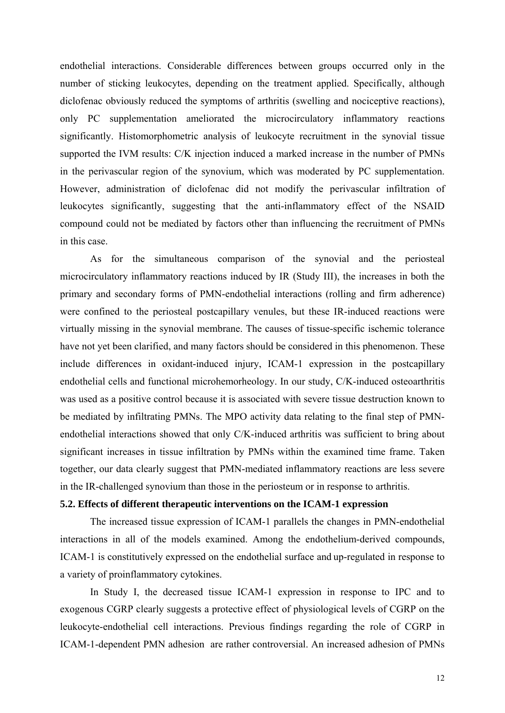endothelial interactions. Considerable differences between groups occurred only in the number of sticking leukocytes, depending on the treatment applied. Specifically, although diclofenac obviously reduced the symptoms of arthritis (swelling and nociceptive reactions), only PC supplementation ameliorated the microcirculatory inflammatory reactions significantly. Histomorphometric analysis of leukocyte recruitment in the synovial tissue supported the IVM results: C/K injection induced a marked increase in the number of PMNs in the perivascular region of the synovium, which was moderated by PC supplementation. However, administration of diclofenac did not modify the perivascular infiltration of leukocytes significantly, suggesting that the anti-inflammatory effect of the NSAID compound could not be mediated by factors other than influencing the recruitment of PMNs in this case.

As for the simultaneous comparison of the synovial and the periosteal microcirculatory inflammatory reactions induced by IR (Study III), the increases in both the primary and secondary forms of PMN-endothelial interactions (rolling and firm adherence) were confined to the periosteal postcapillary venules, but these IR-induced reactions were virtually missing in the synovial membrane. The causes of tissue-specific ischemic tolerance have not yet been clarified, and many factors should be considered in this phenomenon. These include differences in oxidant-induced injury, ICAM-1 expression in the postcapillary endothelial cells and functional microhemorheology. In our study, C/K-induced osteoarthritis was used as a positive control because it is associated with severe tissue destruction known to be mediated by infiltrating PMNs. The MPO activity data relating to the final step of PMNendothelial interactions showed that only C/K-induced arthritis was sufficient to bring about significant increases in tissue infiltration by PMNs within the examined time frame. Taken together, our data clearly suggest that PMN-mediated inflammatory reactions are less severe in the IR-challenged synovium than those in the periosteum or in response to arthritis.

# **5.2. Effects of different therapeutic interventions on the ICAM-1 expression**

The increased tissue expression of ICAM-1 parallels the changes in PMN-endothelial interactions in all of the models examined. Among the endothelium-derived compounds, ICAM-1 is constitutively expressed on the endothelial surface and up-regulated in response to a variety of proinflammatory cytokines.

In Study I, the decreased tissue ICAM-1 expression in response to IPC and to exogenous CGRP clearly suggests a protective effect of physiological levels of CGRP on the leukocyte-endothelial cell interactions. Previous findings regarding the role of CGRP in ICAM-1-dependent PMN adhesion are rather controversial. An increased adhesion of PMNs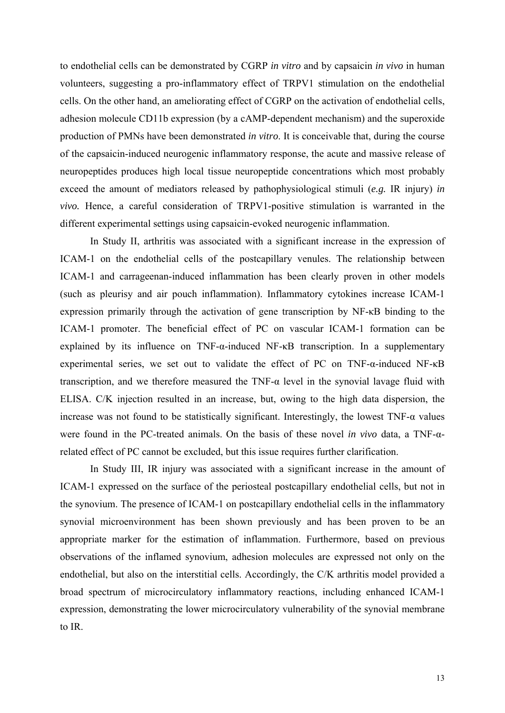to endothelial cells can be demonstrated by CGRP *in vitro* and by capsaicin *in vivo* in human volunteers, suggesting a pro-inflammatory effect of TRPV1 stimulation on the endothelial cells. On the other hand, an ameliorating effect of CGRP on the activation of endothelial cells, adhesion molecule CD11b expression (by a cAMP-dependent mechanism) and the superoxide production of PMNs have been demonstrated *in vitro*. It is conceivable that, during the course of the capsaicin-induced neurogenic inflammatory response, the acute and massive release of neuropeptides produces high local tissue neuropeptide concentrations which most probably exceed the amount of mediators released by pathophysiological stimuli (*e.g.* IR injury) *in vivo.* Hence, a careful consideration of TRPV1-positive stimulation is warranted in the different experimental settings using capsaicin-evoked neurogenic inflammation.

In Study II, arthritis was associated with a significant increase in the expression of ICAM-1 on the endothelial cells of the postcapillary venules. The relationship between ICAM-1 and carrageenan-induced inflammation has been clearly proven in other models (such as pleurisy and air pouch inflammation). Inflammatory cytokines increase ICAM-1 expression primarily through the activation of gene transcription by NF-κB binding to the ICAM-1 promoter. The beneficial effect of PC on vascular ICAM-1 formation can be explained by its influence on TNF-α-induced NF-κB transcription. In a supplementary experimental series, we set out to validate the effect of PC on TNF-α-induced NF-κB transcription, and we therefore measured the TNF-α level in the synovial lavage fluid with ELISA. C/K injection resulted in an increase, but, owing to the high data dispersion, the increase was not found to be statistically significant. Interestingly, the lowest  $TNF-\alpha$  values were found in the PC-treated animals. On the basis of these novel *in vivo* data, a TNF-αrelated effect of PC cannot be excluded, but this issue requires further clarification.

In Study III, IR injury was associated with a significant increase in the amount of ICAM-1 expressed on the surface of the periosteal postcapillary endothelial cells, but not in the synovium. The presence of ICAM-1 on postcapillary endothelial cells in the inflammatory synovial microenvironment has been shown previously and has been proven to be an appropriate marker for the estimation of inflammation. Furthermore, based on previous observations of the inflamed synovium, adhesion molecules are expressed not only on the endothelial, but also on the interstitial cells. Accordingly, the C/K arthritis model provided a broad spectrum of microcirculatory inflammatory reactions, including enhanced ICAM-1 expression, demonstrating the lower microcirculatory vulnerability of the synovial membrane to IR.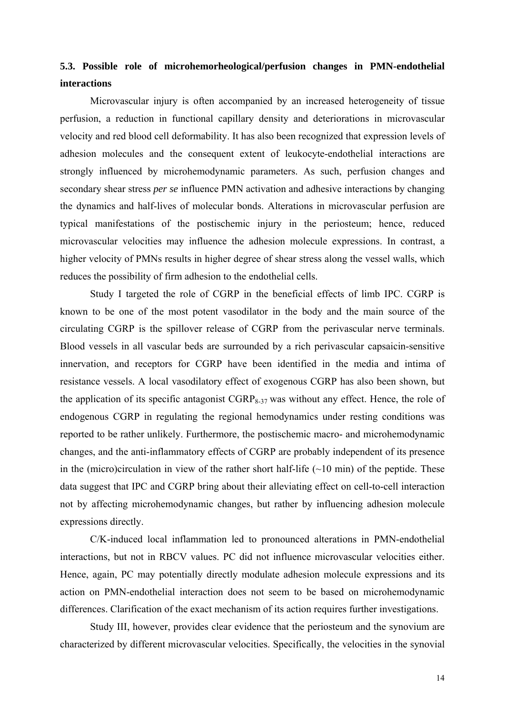# **5.3. Possible role of microhemorheological/perfusion changes in PMN-endothelial interactions**

Microvascular injury is often accompanied by an increased heterogeneity of tissue perfusion, a reduction in functional capillary density and deteriorations in microvascular velocity and red blood cell deformability. It has also been recognized that expression levels of adhesion molecules and the consequent extent of leukocyte-endothelial interactions are strongly influenced by microhemodynamic parameters. As such, perfusion changes and secondary shear stress *per se* influence PMN activation and adhesive interactions by changing the dynamics and half-lives of molecular bonds. Alterations in microvascular perfusion are typical manifestations of the postischemic injury in the periosteum; hence, reduced microvascular velocities may influence the adhesion molecule expressions. In contrast, a higher velocity of PMNs results in higher degree of shear stress along the vessel walls, which reduces the possibility of firm adhesion to the endothelial cells.

Study I targeted the role of CGRP in the beneficial effects of limb IPC. CGRP is known to be one of the most potent vasodilator in the body and the main source of the circulating CGRP is the spillover release of CGRP from the perivascular nerve terminals. Blood vessels in all vascular beds are surrounded by a rich perivascular capsaicin-sensitive innervation, and receptors for CGRP have been identified in the media and intima of resistance vessels. A local vasodilatory effect of exogenous CGRP has also been shown, but the application of its specific antagonist CGRP<sub>8-37</sub> was without any effect. Hence, the role of endogenous CGRP in regulating the regional hemodynamics under resting conditions was reported to be rather unlikely. Furthermore, the postischemic macro- and microhemodynamic changes, and the anti-inflammatory effects of CGRP are probably independent of its presence in the (micro)circulation in view of the rather short half-life  $(\sim 10 \text{ min})$  of the peptide. These data suggest that IPC and CGRP bring about their alleviating effect on cell-to-cell interaction not by affecting microhemodynamic changes, but rather by influencing adhesion molecule expressions directly.

C/K-induced local inflammation led to pronounced alterations in PMN-endothelial interactions, but not in RBCV values. PC did not influence microvascular velocities either. Hence, again, PC may potentially directly modulate adhesion molecule expressions and its action on PMN-endothelial interaction does not seem to be based on microhemodynamic differences. Clarification of the exact mechanism of its action requires further investigations.

 Study III, however, provides clear evidence that the periosteum and the synovium are characterized by different microvascular velocities. Specifically, the velocities in the synovial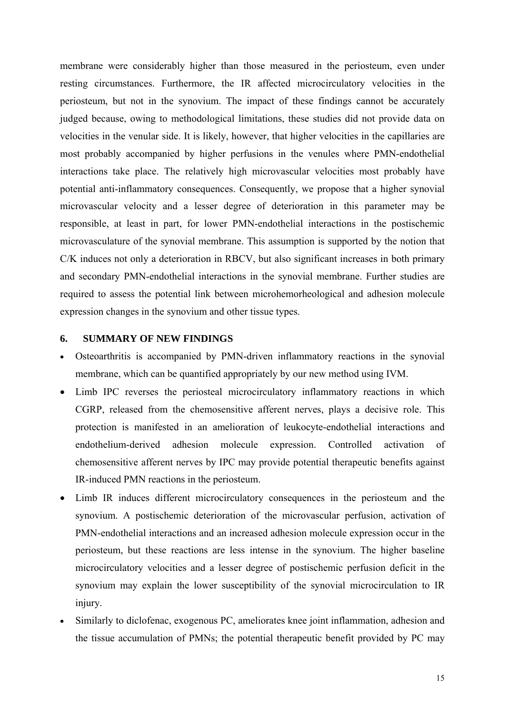membrane were considerably higher than those measured in the periosteum, even under resting circumstances. Furthermore, the IR affected microcirculatory velocities in the periosteum, but not in the synovium. The impact of these findings cannot be accurately judged because, owing to methodological limitations, these studies did not provide data on velocities in the venular side. It is likely, however, that higher velocities in the capillaries are most probably accompanied by higher perfusions in the venules where PMN-endothelial interactions take place. The relatively high microvascular velocities most probably have potential anti-inflammatory consequences. Consequently, we propose that a higher synovial microvascular velocity and a lesser degree of deterioration in this parameter may be responsible, at least in part, for lower PMN-endothelial interactions in the postischemic microvasculature of the synovial membrane. This assumption is supported by the notion that C/K induces not only a deterioration in RBCV, but also significant increases in both primary and secondary PMN-endothelial interactions in the synovial membrane. Further studies are required to assess the potential link between microhemorheological and adhesion molecule expression changes in the synovium and other tissue types.

## **6. SUMMARY OF NEW FINDINGS**

- Osteoarthritis is accompanied by PMN-driven inflammatory reactions in the synovial membrane, which can be quantified appropriately by our new method using IVM.
- Limb IPC reverses the periosteal microcirculatory inflammatory reactions in which CGRP, released from the chemosensitive afferent nerves, plays a decisive role. This protection is manifested in an amelioration of leukocyte-endothelial interactions and endothelium-derived adhesion molecule expression. Controlled activation of chemosensitive afferent nerves by IPC may provide potential therapeutic benefits against IR-induced PMN reactions in the periosteum.
- Limb IR induces different microcirculatory consequences in the periosteum and the synovium. A postischemic deterioration of the microvascular perfusion, activation of PMN-endothelial interactions and an increased adhesion molecule expression occur in the periosteum, but these reactions are less intense in the synovium. The higher baseline microcirculatory velocities and a lesser degree of postischemic perfusion deficit in the synovium may explain the lower susceptibility of the synovial microcirculation to IR injury.
- Similarly to diclofenac, exogenous PC, ameliorates knee joint inflammation, adhesion and the tissue accumulation of PMNs; the potential therapeutic benefit provided by PC may